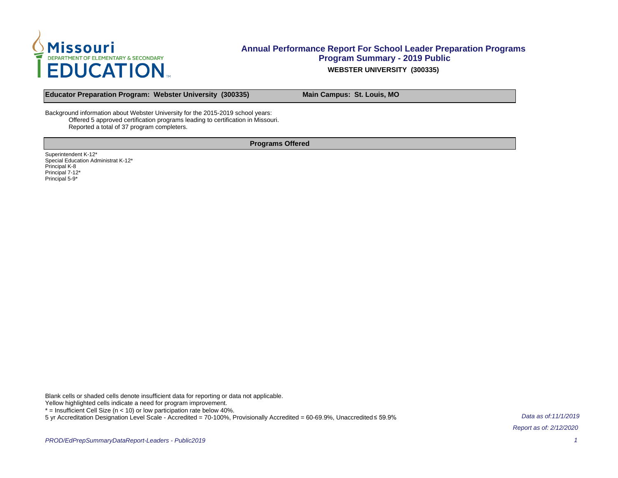

**Educator Preparation Program: Webster University (300335) Main Campus: St. Louis, MO**

Background information about Webster University for the 2015-2019 school years: Offered 5 approved certification programs leading to certification in Missouri. Reported a total of 37 program completers.

**Programs Offered**

Superintendent K-12\* Special Education Administrat K-12\* Principal K-8 Principal 7-12\* Principal 5-9\*

Blank cells or shaded cells denote insufficient data for reporting or data not applicable.

Yellow highlighted cells indicate a need for program improvement.

 $*$  = Insufficient Cell Size ( $n$  < 10) or low participation rate below 40%.

5 yr Accreditation Designation Level Scale - Accredited = 70-100%, Provisionally Accredited = 60-69.9%, Unaccredited ≤ 59.9%

Data as of:11/1/2019 Report as of: 2/12/2020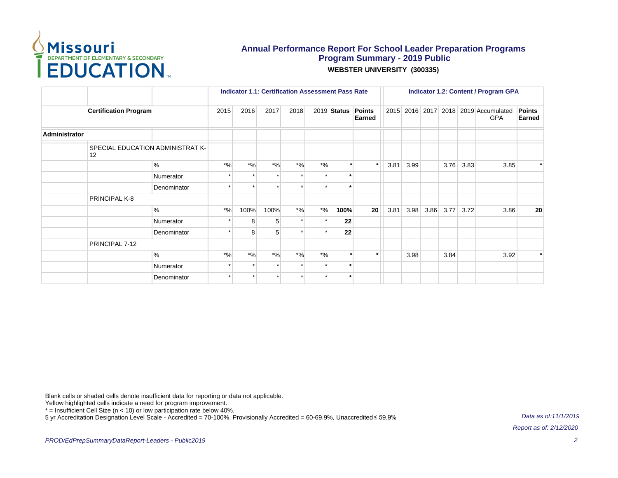

|                              |                                        |             | <b>Indicator 1.1: Certification Assessment Pass Rate</b> |       |       |       |                      |               |                  | <b>Indicator 1.2: Content / Program GPA</b> |      |      |      |      |                                                    |                  |  |
|------------------------------|----------------------------------------|-------------|----------------------------------------------------------|-------|-------|-------|----------------------|---------------|------------------|---------------------------------------------|------|------|------|------|----------------------------------------------------|------------------|--|
| <b>Certification Program</b> |                                        |             | 2015                                                     | 2016  | 2017  | 2018  |                      | $2019$ Status | Points<br>Earned |                                             |      |      |      |      | 2015 2016 2017 2018 2019 Accumulated<br><b>GPA</b> | Points<br>Earned |  |
| <b>Administrator</b>         |                                        |             |                                                          |       |       |       |                      |               |                  |                                             |      |      |      |      |                                                    |                  |  |
|                              | SPECIAL EDUCATION ADMINISTRAT K-<br>12 |             |                                                          |       |       |       |                      |               |                  |                                             |      |      |      |      |                                                    |                  |  |
|                              |                                        | $\%$        | $*$ %                                                    | $*$ % | $*$ % | $*$ % | $*$ %                | $\star$       | $\star$          | 3.81                                        | 3.99 |      | 3.76 | 3.83 | 3.85                                               | $\star$          |  |
|                              |                                        | Numerator   |                                                          |       |       |       | $\star$              | $\star$       |                  |                                             |      |      |      |      |                                                    |                  |  |
|                              |                                        | Denominator |                                                          |       |       |       | $\ddot{\phantom{0}}$ | $\star$       |                  |                                             |      |      |      |      |                                                    |                  |  |
|                              | PRINCIPAL K-8                          |             |                                                          |       |       |       |                      |               |                  |                                             |      |      |      |      |                                                    |                  |  |
|                              |                                        | $\%$        | $*$ %                                                    | 100%  | 100%  | $*$ % | $*$ %                | 100%          | 20 <sup>1</sup>  | 3.81                                        | 3.98 | 3.86 | 3.77 | 3.72 | 3.86                                               | 20               |  |
|                              |                                        | Numerator   |                                                          | 8     | 5     |       | $\star$              | 22            |                  |                                             |      |      |      |      |                                                    |                  |  |
|                              |                                        | Denominator |                                                          | 8     | 5     |       | $\star$              | 22            |                  |                                             |      |      |      |      |                                                    |                  |  |
|                              | PRINCIPAL 7-12                         |             |                                                          |       |       |       |                      |               |                  |                                             |      |      |      |      |                                                    |                  |  |
|                              |                                        | $\%$        | $*$ %                                                    | $*$ % | $*$ % | $*$ % | $*9/6$               |               |                  |                                             | 3.98 |      | 3.84 |      | 3.92                                               | $\star$          |  |
|                              |                                        | Numerator   |                                                          |       |       |       | $\star$              |               |                  |                                             |      |      |      |      |                                                    |                  |  |
|                              |                                        | Denominator | $\star$                                                  |       |       |       | $\star$              | $\star$       |                  |                                             |      |      |      |      |                                                    |                  |  |

Blank cells or shaded cells denote insufficient data for reporting or data not applicable.

Yellow highlighted cells indicate a need for program improvement.

\* = Insufficient Cell Size (n < 10) or low participation rate below 40%.

5 yr Accreditation Designation Level Scale - Accredited = 70-100%, Provisionally Accredited = 60-69.9%, Unaccredited ≤ 59.9%

Data as of:11/1/2019 Report as of: 2/12/2020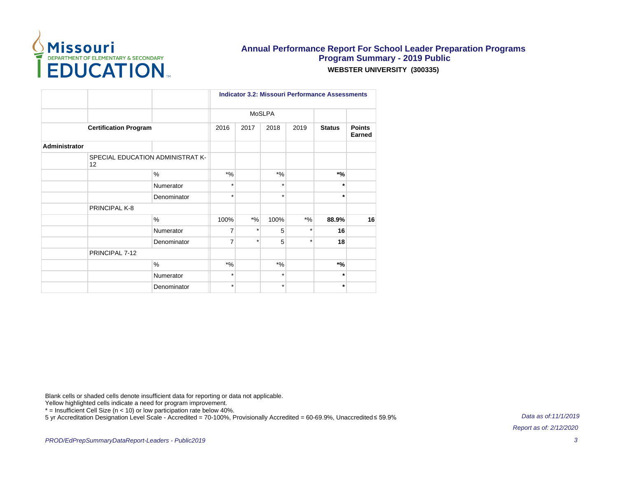

|                              |                                        |               | <b>Indicator 3.2: Missouri Performance Assessments</b> |               |         |         |               |                         |  |  |  |
|------------------------------|----------------------------------------|---------------|--------------------------------------------------------|---------------|---------|---------|---------------|-------------------------|--|--|--|
|                              |                                        |               |                                                        | <b>MoSLPA</b> |         |         |               |                         |  |  |  |
| <b>Certification Program</b> |                                        |               | 2016                                                   | 2017          | 2018    | 2019    | <b>Status</b> | <b>Points</b><br>Earned |  |  |  |
| <b>Administrator</b>         |                                        |               |                                                        |               |         |         |               |                         |  |  |  |
|                              | SPECIAL EDUCATION ADMINISTRAT K-<br>12 |               |                                                        |               |         |         |               |                         |  |  |  |
|                              |                                        | $\frac{0}{0}$ | $*$ %                                                  |               | $*$ %   |         | $*$ %         |                         |  |  |  |
|                              |                                        | Numerator     | $\star$                                                |               | $\star$ |         | $\star$       |                         |  |  |  |
|                              |                                        | Denominator   | $\star$                                                |               | $\star$ |         | $\star$       |                         |  |  |  |
|                              | PRINCIPAL K-8                          |               |                                                        |               |         |         |               |                         |  |  |  |
|                              |                                        | $\%$          | 100%                                                   | $*9/6$        | 100%    | $*$ %   | 88.9%         | 16                      |  |  |  |
|                              |                                        | Numerator     | $\overline{7}$                                         | $\star$       | 5       | $\star$ | 16            |                         |  |  |  |
|                              |                                        | Denominator   | $\overline{7}$                                         | $\star$       | 5       | $\star$ | 18            |                         |  |  |  |
|                              | PRINCIPAL 7-12                         |               |                                                        |               |         |         |               |                         |  |  |  |
|                              |                                        | $\frac{0}{0}$ | $*9/6$                                                 |               | $*$ %   |         | $*$ %         |                         |  |  |  |
|                              |                                        | Numerator     | $\star$                                                |               | $\star$ |         | $\star$       |                         |  |  |  |
|                              |                                        | Denominator   | $\star$                                                |               | $\star$ |         | $\star$       |                         |  |  |  |

Blank cells or shaded cells denote insufficient data for reporting or data not applicable.

Yellow highlighted cells indicate a need for program improvement.

\* = Insufficient Cell Size (n < 10) or low participation rate below 40%.

5 yr Accreditation Designation Level Scale - Accredited = 70-100%, Provisionally Accredited = 60-69.9%, Unaccredited ≤ 59.9%